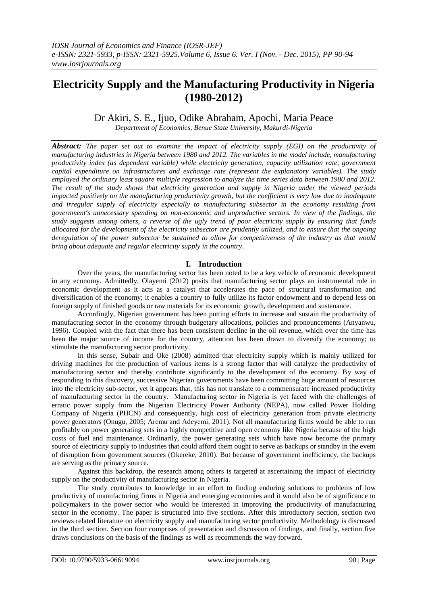# **Electricity Supply and the Manufacturing Productivity in Nigeria (1980-2012)**

Dr Akiri, S. E., Ijuo, Odike Abraham, Apochi, Maria Peace

*Department of Economics, Benue State University, Makurdi-Nigeria*

*Abstract: The paper set out to examine the impact of electricity supply (EGI) on the productivity of manufacturing industries in Nigeria between 1980 and 2012. The variables in the model include, manufacturing productivity index (as dependent variable) while electricity generation, capacity utilization rate, government capital expenditure on infrastructures and exchange rate (represent the explanatory variables). The study employed the ordinary least square multiple regression to analyze the time series data between 1980 and 2012. The result of the study shows that electricity generation and supply in Nigeria under the viewed periods impacted positively on the manufacturing productivity growth, but the coefficient is very low due to inadequate and irregular supply of electricity especially to manufacturing subsector in the economy resulting from government's unnecessary spending on non-economic and unproductive sectors. In view of the findings, the study suggests among others, a reverse of the ugly trend of poor electricity supply by ensuring that funds allocated for the development of the electricity subsector are prudently utilized, and to ensure that the ongoing deregulation of the power subsector be sustained to allow for competitiveness of the industry as that would bring about adequate and regular electricity supply in the country*.

# **I. Introduction**

Over the years, the manufacturing sector has been noted to be a key vehicle of economic development in any economy. Admittedly, Olayemi (2012) posits that manufacturing sector plays an instrumental role in economic development as it acts as a catalyst that accelerates the pace of structural transformation and diversification of the economy; it enables a country to fully utilize its factor endowment and to depend less on foreign supply of finished goods or raw materials for its economic growth, development and sustenance.

Accordingly, Nigerian government has been putting efforts to increase and sustain the productivity of manufacturing sector in the economy through budgetary allocations, policies and pronouncements (Anyanwu, 1996). Coupled with the fact that there has been consistent decline in the oil revenue, which over the time has been the major source of income for the country, attention has been drawn to diversify the economy; to stimulate the manufacturing sector productivity.

In this sense, Subair and Oke (2008) admitted that electricity supply which is mainly utilized for driving machines for the production of various items is a strong factor that will catalyze the productivity of manufacturing sector and thereby contribute significantly to the development of the economy. By way of responding to this discovery, successive Nigerian governments have been committing huge amount of resources into the electricity sub-sector, yet it appears that, this has not translate to a commensurate increased productivity of manufacturing sector in the country. Manufacturing sector in Nigeria is yet faced with the challenges of erratic power supply from the Nigerian Electricity Power Authority (NEPA), now called Power Holding Company of Nigeria (PHCN) and consequently, high cost of electricity generation from private electricity power generators (Onugu, 2005; Aremu and Adeyemi, 2011). Not all manufacturing firms would be able to run profitably on power generating sets in a highly competitive and open economy like Nigeria because of the high costs of fuel and maintenance. Ordinarily, the power generating sets which have now become the primary source of electricity supply to industries that could afford them ought to serve as backups or standby in the event of disruption from government sources (Okereke, 2010). But because of government inefficiency, the backups are serving as the primary source.

Against this backdrop, the research among others is targeted at ascertaining the impact of electricity supply on the productivity of manufacturing sector in Nigeria.

The study contributes to knowledge in an effort to finding enduring solutions to problems of low productivity of manufacturing firms in Nigeria and emerging economies and it would also be of significance to policymakers in the power sector who would be interested in improving the productivity of manufacturing sector in the economy. The paper is structured into five sections. After this introductory section, section two reviews related literature on electricity supply and manufacturing sector productivity. Methodology is discussed in the third section. Section four comprises of presentation and discussion of findings, and finally, section five draws conclusions on the basis of the findings as well as recommends the way forward.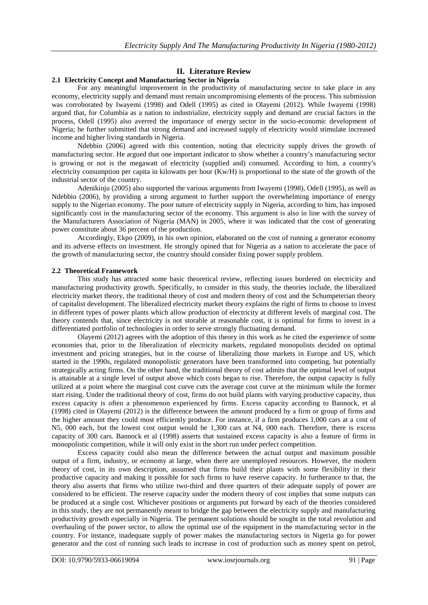# **II. Literature Review**

## **2.1 Electricity Concept and Manufacturing Sector in Nigeria**

For any meaningful improvement in the productivity of manufacturing sector to take place in any economy, electricity supply and demand must remain uncompromising elements of the process. This submission was corroborated by Iwayemi (1998) and Odell (1995) as cited in Olayemi (2012). While Iwayemi (1998) argued that, for Columbia as a nation to industrialize, electricity supply and demand are crucial factors in the process, Odell (1995) also averred the importance of energy sector in the socio-economic development of Nigeria; he further submitted that strong demand and increased supply of electricity would stimulate increased income and higher living standards in Nigeria.

Ndebbio (2006) agreed with this contention, noting that electricity supply drives the growth of manufacturing sector. He argued that one important indicator to show whether a country's manufacturing sector is growing or not is the megawatt of electricity (supplied and) consumed. According to him, a country's electricity consumption per capita in kilowatts per hour (Kw/H) is proportional to the state of the growth of the industrial sector of the country.

Adenikinju (2005) also supported the various arguments from Iwayemi (1998), Odell (1995), as well as Ndebbio (2006), by providing a strong argument to further support the overwhelming importance of energy supply to the Nigerian economy. The poor nature of electricity supply in Nigeria, according to him, has imposed significantly cost in the manufacturing sector of the economy. This argument is also in line with the survey of the Manufacturers Association of Nigeria (MAN) in 2005, where it was indicated that the cost of generating power constitute about 36 percent of the production.

Accordingly, Ekpo (2009), in his own opinion, elaborated on the cost of running a generator economy and its adverse effects on investment. He strongly opined that for Nigeria as a nation to accelerate the pace of the growth of manufacturing sector, the country should consider fixing power supply problem.

## **2.2 Theoretical Framework**

This study has attracted some basic theoretical review, reflecting issues bordered on electricity and manufacturing productivity growth. Specifically, to consider in this study, the theories include, the liberalized electricity market theory, the traditional theory of cost and modern theory of cost and the Schumpeterian theory of capitalist development. The liberalized electricity market theory explains the right of firms to choose to invest in different types of power plants which allow production of electricity at different levels of marginal cost. The theory contends that, since electricity is not storable at reasonable cost, it is optimal for firms to invest in a differentiated portfolio of technologies in order to serve strongly fluctuating demand.

Olayemi (2012) agrees with the adoption of this theory in this work as he cited the experience of some economies that, prior to the liberalization of electricity markets, regulated monopolists decided on optimal investment and pricing strategies, but in the course of liberalizing those markets in Europe and US, which started in the 1990s, regulated monopolistic generators have been transformed into competing, but potentially strategically acting firms. On the other hand, the traditional theory of cost admits that the optimal level of output is attainable at a single level of output above which costs began to rise. Therefore, the output capacity is fully utilized at a point where the marginal cost curve cuts the average cost curve at the minimum while the former start rising. Under the traditional theory of cost, firms do not build plants with varying productive capacity, thus excess capacity is often a phenomenon experienced by firms. Excess capacity according to Bannock, et al (1998) cited in Olayemi (2012) is the difference between the amount produced by a firm or group of firms and the higher amount they could most efficiently produce. For instance, if a firm produces 1,000 cars at a cost of N5, 000 each, but the lowest cost output would be 1,300 cars at N4, 000 each. Therefore, there is excess capacity of 300 cars. Bannock et al (1998) asserts that sustained excess capacity is also a feature of firms in monopolistic competition, while it will only exist in the short run under perfect competition.

Excess capacity could also mean the difference between the actual output and maximum possible output of a firm, industry, or economy at large, when there are unemployed resources. However, the modern theory of cost, in its own description, assumed that firms build their plants with some flexibility in their productive capacity and making it possible for such firms to have reserve capacity. In furtherance to that, the theory also asserts that firms who utilize two-third and three quarters of their adequate supply of power are considered to be efficient. The reserve capacity under the modern theory of cost implies that some outputs can be produced at a single cost. Whichever positions or arguments put forward by each of the theories considered in this study, they are not permanently meant to bridge the gap between the electricity supply and manufacturing productivity growth especially in Nigeria. The permanent solutions should be sought in the total revolution and overhauling of the power sector, to allow the optimal use of the equipment in the manufacturing sector in the country. For instance, inadequate supply of power makes the manufacturing sectors in Nigeria go for power generator and the cost of running such leads to increase in cost of production such as money spent on petrol,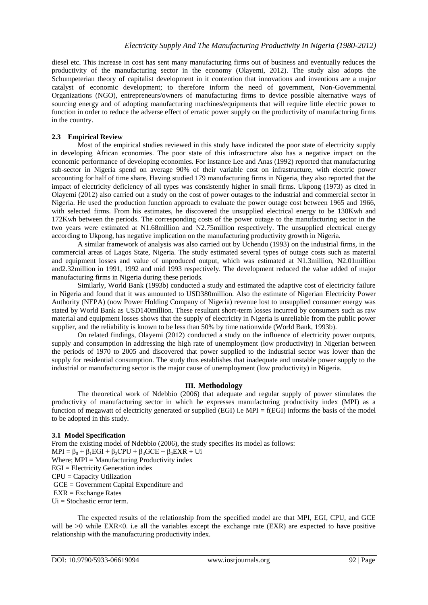diesel etc. This increase in cost has sent many manufacturing firms out of business and eventually reduces the productivity of the manufacturing sector in the economy (Olayemi, 2012). The study also adopts the Schumpeterian theory of capitalist development in it contention that innovations and inventions are a major catalyst of economic development; to therefore inform the need of government, Non-Governmental Organizations (NGO), entrepreneurs/owners of manufacturing firms to device possible alternative ways of sourcing energy and of adopting manufacturing machines/equipments that will require little electric power to function in order to reduce the adverse effect of erratic power supply on the productivity of manufacturing firms in the country.

# **2.3 Empirical Review**

Most of the empirical studies reviewed in this study have indicated the poor state of electricity supply in developing African economies. The poor state of this infrastructure also has a negative impact on the economic performance of developing economies. For instance Lee and Anas (1992) reported that manufacturing sub-sector in Nigeria spend on average 90% of their variable cost on infrastructure, with electric power accounting for half of time share. Having studied 179 manufacturing firms in Nigeria, they also reported that the impact of electricity deficiency of all types was consistently higher in small firms. Ukpong (1973) as cited in Olayemi (2012) also carried out a study on the cost of power outages to the industrial and commercial sector in Nigeria. He used the production function approach to evaluate the power outage cost between 1965 and 1966, with selected firms. From his estimates, he discovered the unsupplied electrical energy to be 130Kwh and 172Kwh between the periods. The corresponding costs of the power outage to the manufacturing sector in the two years were estimated at N1.68million and N2.75million respectively. The unsupplied electrical energy according to Ukpong, has negative implication on the manufacturing productivity growth in Nigeria.

A similar framework of analysis was also carried out by Uchendu (1993) on the industrial firms, in the commercial areas of Lagos State, Nigeria. The study estimated several types of outage costs such as material and equipment losses and value of unproduced output, which was estimated at N1.3million, N2.01million and2.32million in 1991, 1992 and mid 1993 respectively. The development reduced the value added of major manufacturing firms in Nigeria during these periods.

Similarly, World Bank (1993b) conducted a study and estimated the adaptive cost of electricity failure in Nigeria and found that it was amounted to USD380million. Also the estimate of Nigerian Electricity Power Authority (NEPA) (now Power Holding Company of Nigeria) revenue lost to unsupplied consumer energy was stated by World Bank as USD140million. These resultant short-term losses incurred by consumers such as raw material and equipment losses shows that the supply of electricity in Nigeria is unreliable from the public power supplier, and the reliability is known to be less than 50% by time nationwide (World Bank, 1993b).

On related findings, Olayemi (2012) conducted a study on the influence of electricity power outputs, supply and consumption in addressing the high rate of unemployment (low productivity) in Nigerian between the periods of 1970 to 2005 and discovered that power supplied to the industrial sector was lower than the supply for residential consumption. The study thus establishes that inadequate and unstable power supply to the industrial or manufacturing sector is the major cause of unemployment (low productivity) in Nigeria.

# **III. Methodology**

The theoretical work of Ndebbio (2006) that adequate and regular supply of power stimulates the productivity of manufacturing sector in which he expresses manufacturing productivity index (MPI) as a function of megawatt of electricity generated or supplied (EGI) i.e  $MPI = f(EGI)$  informs the basis of the model to be adopted in this study.

# **3.1 Model Specification**

From the existing model of Ndebbio (2006), the study specifies its model as follows:  $MPI = \beta_0 + \beta_1 EGI + \beta_2 CPU + \beta_3 GCE + \beta_4 EXR +Ui$ Where;  $MPI = Manufacturing Productivity index$ EGI = Electricity Generation index CPU = Capacity Utilization GCE = Government Capital Expenditure and EXR = Exchange Rates Ui = Stochastic error term.

The expected results of the relationship from the specified model are that MPI, EGI, CPU, and GCE will be  $>0$  while EXR $< 0$ . i.e all the variables except the exchange rate (EXR) are expected to have positive relationship with the manufacturing productivity index.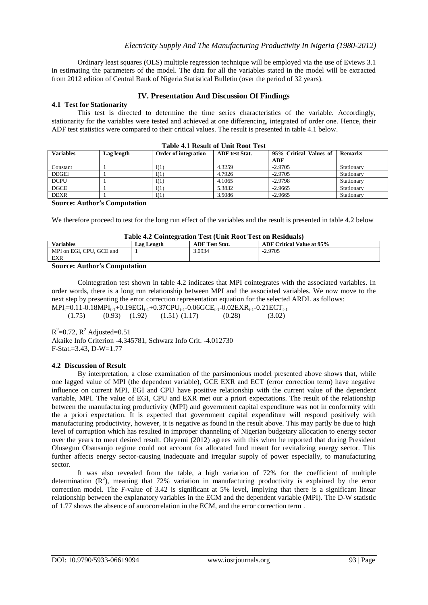Ordinary least squares (OLS) multiple regression technique will be employed via the use of Eviews 3.1 in estimating the parameters of the model. The data for all the variables stated in the model will be extracted from 2012 edition of Central Bank of Nigeria Statistical Bulletin (over the period of 32 years).

## **IV. Presentation And Discussion Of Findings**

## **4.1 Test for Stationarity**

This test is directed to determine the time series characteristics of the variable. Accordingly, stationarity for the variables were tested and achieved at one differencing, integrated of order one. Hence, their ADF test statistics were compared to their critical values. The result is presented in table 4.1 below.

| <b>Variables</b> | Lag length | <b>Order of integration</b> | <b>ADF</b> test Stat. | 95% Critical Values of<br>ADF | <b>Remarks</b> |
|------------------|------------|-----------------------------|-----------------------|-------------------------------|----------------|
| Constant         |            | I(1)                        | 4.3259                | $-2.9705$                     | Stationary     |
| <b>DEGEI</b>     |            | I(1)                        | 4.7926                | $-2.9705$                     | Stationary     |
| <b>DCPU</b>      |            | I(1)                        | 4.1065                | $-2.9798$                     | Stationary     |
| <b>DGCE</b>      |            | I(1)                        | 5.3832                | $-2.9665$                     | Stationary     |
| <b>DEXR</b>      |            | I(1)                        | 3.5086                | $-2.9665$                     | Stationary     |

#### **Table 4.1 Result of Unit Root Test**

#### **Source: Author's Computation**

We therefore proceed to test for the long run effect of the variables and the result is presented in table 4.2 below

#### **Table 4.2 Cointegration Test (Unit Root Test on Residuals)**

| Tuble - is connect anon Test (Cint Root Test on Residuals) |            |                       |                                  |  |  |  |
|------------------------------------------------------------|------------|-----------------------|----------------------------------|--|--|--|
| <b>Variables</b>                                           | Lag Length | <b>ADF</b> Test Stat. | <b>ADF Critical Value at 95%</b> |  |  |  |
| MPI on EGI, CPU, GCE and                                   |            | 3.0934                | $-2.9705$                        |  |  |  |
| EXR                                                        |            |                       |                                  |  |  |  |
| _______                                                    |            |                       |                                  |  |  |  |

#### **Source: Author's Computation**

Cointegration test shown in table 4.2 indicates that MPI cointegrates with the associated variables. In order words, there is a long run relationship between MPI and the associated variables. We now move to the next step by presenting the error correction representation equation for the selected ARDL as follows:  $MPI_{t}=0.11-0.18MPI_{t-1}+0.19EGI_{t-1}+0.37CPU_{t-1}-0.06GCE_{t-1}-0.02EXR_{t-1}-0.21ECT_{t-1}$ 

 $(1.75)$   $(0.93)$   $(1.92)$   $(1.51)$   $(1.17)$   $(0.28)$   $(3.02)$ 

 $R^2$ =0.72,  $R^2$  Adjusted=0.51

Akaike Info Criterion -4.345781, Schwarz Info Crit. -4.012730 F-Stat.=3.43, D-W=1.77

#### **4.2 Discussion of Result**

By interpretation, a close examination of the parsimonious model presented above shows that, while one lagged value of MPI (the dependent variable), GCE EXR and ECT (error correction term) have negative influence on current MPI, EGI and CPU have positive relationship with the current value of the dependent variable, MPI. The value of EGI, CPU and EXR met our a priori expectations. The result of the relationship between the manufacturing productivity (MPI) and government capital expenditure was not in conformity with the a priori expectation. It is expected that government capital expenditure will respond positively with manufacturing productivity, however, it is negative as found in the result above. This may partly be due to high level of corruption which has resulted in improper channeling of Nigerian budgetary allocation to energy sector over the years to meet desired result. Olayemi (2012) agrees with this when he reported that during President Olusegun Obansanjo regime could not account for allocated fund meant for revitalizing energy sector. This further affects energy sector-causing inadequate and irregular supply of power especially, to manufacturing sector.

It was also revealed from the table, a high variation of 72% for the coefficient of multiple determination  $(R^2)$ , meaning that 72% variation in manufacturing productivity is explained by the error correction model. The F-value of 3.42 is significant at 5% level, implying that there is a significant linear relationship between the explanatory variables in the ECM and the dependent variable (MPI). The D-W statistic of 1.77 shows the absence of autocorrelation in the ECM, and the error correction term .